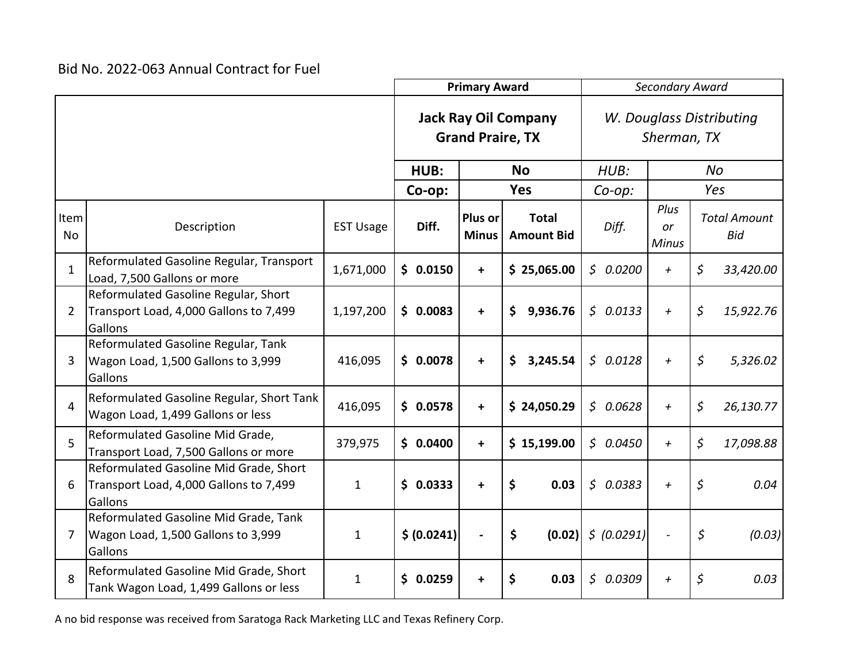|                   |                                                                                             |                  |      | <b>Primary Award</b>                                   |                         |    |                                   | Secondary Award |                                         |                            |           |                                   |
|-------------------|---------------------------------------------------------------------------------------------|------------------|------|--------------------------------------------------------|-------------------------|----|-----------------------------------|-----------------|-----------------------------------------|----------------------------|-----------|-----------------------------------|
|                   |                                                                                             |                  |      | <b>Jack Ray Oil Company</b><br><b>Grand Praire, TX</b> |                         |    |                                   |                 | W. Douglass Distributing<br>Sherman, TX |                            |           |                                   |
|                   |                                                                                             |                  | HUB: |                                                        | <b>No</b>               |    | HUB:                              |                 |                                         |                            | <b>No</b> |                                   |
|                   |                                                                                             |                  |      | Co-op:                                                 |                         |    | <b>Yes</b>                        |                 | $Co$ -op:                               | Yes                        |           |                                   |
| Item<br><b>No</b> | Description                                                                                 | <b>EST Usage</b> |      | Diff.                                                  | Plus or<br><b>Minus</b> |    | <b>Total</b><br><b>Amount Bid</b> |                 | Diff.                                   | Plus<br>or<br><b>Minus</b> |           | <b>Total Amount</b><br><b>Bid</b> |
| $\mathbf{1}$      | Reformulated Gasoline Regular, Transport<br>Load, 7,500 Gallons or more                     | 1,671,000        |      | \$0.0150                                               | $+$                     |    | \$25,065.00                       |                 | \$0.0200                                | $+$                        | \$        | 33,420.00                         |
| 2                 | Reformulated Gasoline Regular, Short<br>Transport Load, 4,000 Gallons to 7,499<br>Gallons   | 1,197,200        |      | \$0.0083                                               | $\ddot{}$               |    | 9,936.76<br>\$                    |                 | \$0.0133                                | $+$                        | \$        | 15,922.76                         |
| 3                 | Reformulated Gasoline Regular, Tank<br>Wagon Load, 1,500 Gallons to 3,999<br>Gallons        | 416,095          |      | \$0.0078                                               | $\ddot{}$               |    | \$<br>3,245.54                    |                 | \$0.0128                                | $\leftarrow$               | \$        | 5,326.02                          |
| $\overline{4}$    | Reformulated Gasoline Regular, Short Tank<br>Wagon Load, 1,499 Gallons or less              | 416,095          |      | \$0.0578                                               | $+$                     |    | \$24,050.29                       |                 | \$0.0628                                | $\ddot{}$                  | \$        | 26,130.77                         |
| 5                 | Reformulated Gasoline Mid Grade,<br>Transport Load, 7,500 Gallons or more                   | 379,975          |      | \$0.0400                                               | $+$                     |    | \$15,199.00                       |                 | \$0.0450                                | $+$                        | \$        | 17,098.88                         |
| 6                 | Reformulated Gasoline Mid Grade, Short<br>Transport Load, 4,000 Gallons to 7,499<br>Gallons | $\mathbf 1$      |      | \$0.0333                                               | $\ddot{}$               | \$ | 0.03                              |                 | \$0.0383                                | $\ddot{}$                  | \$        | 0.04                              |
| 7                 | Reformulated Gasoline Mid Grade, Tank<br>Wagon Load, 1,500 Gallons to 3,999<br>Gallons      | 1                |      | \$ (0.0241)                                            | $\blacksquare$          | \$ | (0.02)                            |                 | \$ (0.0291)                             |                            | \$        | (0.03)                            |
| 8                 | Reformulated Gasoline Mid Grade, Short<br>Tank Wagon Load, 1,499 Gallons or less            | 1                |      | \$0.0259                                               | +                       | \$ | 0.03                              | $\mathsf{S}$    | 0.0309                                  | $\ddot{}$                  | \$        | 0.03                              |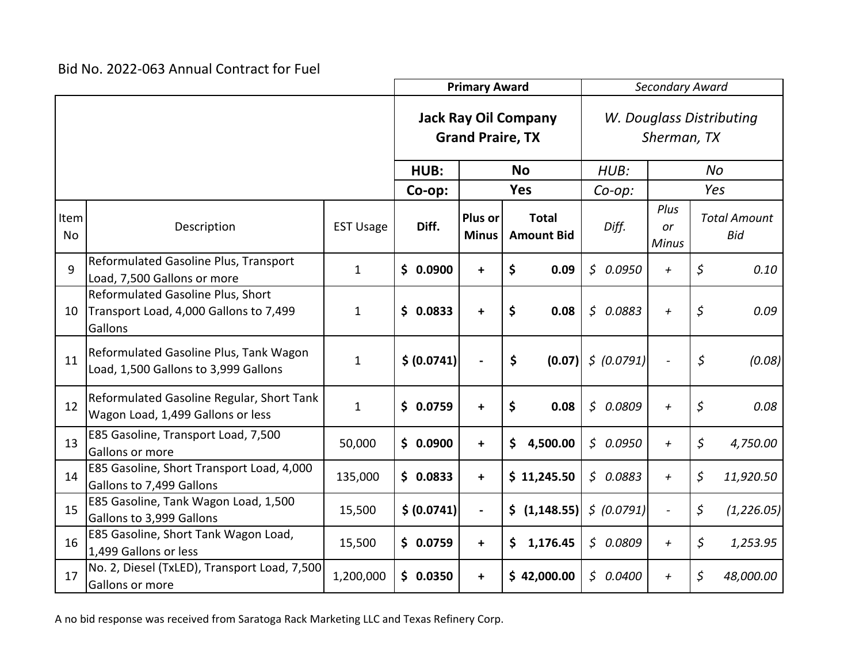|                   |                                                                                        |                  | <b>Primary Award</b> |                         |                                   | Secondary Award                         |                            |                                   |  |
|-------------------|----------------------------------------------------------------------------------------|------------------|----------------------|-------------------------|-----------------------------------|-----------------------------------------|----------------------------|-----------------------------------|--|
|                   |                                                                                        |                  |                      | <b>Grand Praire, TX</b> | <b>Jack Ray Oil Company</b>       | W. Douglass Distributing<br>Sherman, TX |                            |                                   |  |
|                   |                                                                                        |                  |                      |                         | <b>No</b>                         | HUB:                                    |                            | <b>No</b>                         |  |
|                   |                                                                                        |                  | Co-op:               |                         | <b>Yes</b>                        | $Co$ -op:                               | Yes                        |                                   |  |
| Item<br><b>No</b> | Description                                                                            | <b>EST Usage</b> | Diff.                | Plus or<br><b>Minus</b> | <b>Total</b><br><b>Amount Bid</b> | Diff.                                   | Plus<br>or<br><b>Minus</b> | <b>Total Amount</b><br><b>Bid</b> |  |
| $\mathsf{q}$      | Reformulated Gasoline Plus, Transport<br>Load, 7,500 Gallons or more                   | $\mathbf{1}$     | \$0.0900             | $\ddot{}$               | \$<br>0.09                        | \$0.0950                                | $\ddot{}$                  | \$<br>0.10                        |  |
| 10                | Reformulated Gasoline Plus, Short<br>Transport Load, 4,000 Gallons to 7,499<br>Gallons | $\mathbf{1}$     | \$0.0833             | $\ddot{}$               | \$<br>0.08                        | \$0.0883                                | $\ddot{}$                  | \$<br>0.09                        |  |
| 11                | Reformulated Gasoline Plus, Tank Wagon<br>Load, 1,500 Gallons to 3,999 Gallons         | $\mathbf{1}$     | \$ (0.0741)          |                         | \$<br>(0.07)                      | \$ (0.0791)                             |                            | \$<br>(0.08)                      |  |
| 12                | Reformulated Gasoline Regular, Short Tank<br>Wagon Load, 1,499 Gallons or less         | $\mathbf{1}$     | \$0.0759             | $\ddot{}$               | \$<br>0.08                        | \$0.0809                                | $\ddot{}$                  | \$<br>0.08                        |  |
| 13                | E85 Gasoline, Transport Load, 7,500<br>Gallons or more                                 | 50,000           | \$0.0900             | $\ddot{}$               | \$<br>4,500.00                    | \$0.0950                                | $\ddot{}$                  | \$<br>4,750.00                    |  |
| 14                | E85 Gasoline, Short Transport Load, 4,000<br>Gallons to 7,499 Gallons                  | 135,000          | \$0.0833             | $\ddot{}$               | \$11,245.50                       | \$0.0883                                | $\ddot{}$                  | \$<br>11,920.50                   |  |
| 15                | E85 Gasoline, Tank Wagon Load, 1,500<br>Gallons to 3,999 Gallons                       | 15,500           | \$ (0.0741)          | $\blacksquare$          | \$ (1,148.55)                     | \$ (0.0791)                             | $\frac{1}{2}$              | \$<br>(1, 226.05)                 |  |
| 16                | E85 Gasoline, Short Tank Wagon Load,<br>1,499 Gallons or less                          | 15,500           | \$0.0759             | +                       | 1,176.45<br>\$                    | \$0.0809                                | $\ddot{}$                  | \$<br>1,253.95                    |  |
| 17                | No. 2, Diesel (TxLED), Transport Load, 7,500<br>Gallons or more                        | 1,200,000        | \$0.0350             | $\ddot{}$               | \$42,000.00                       | \$0.0400                                | $\ddot{}$                  | \$<br>48,000.00                   |  |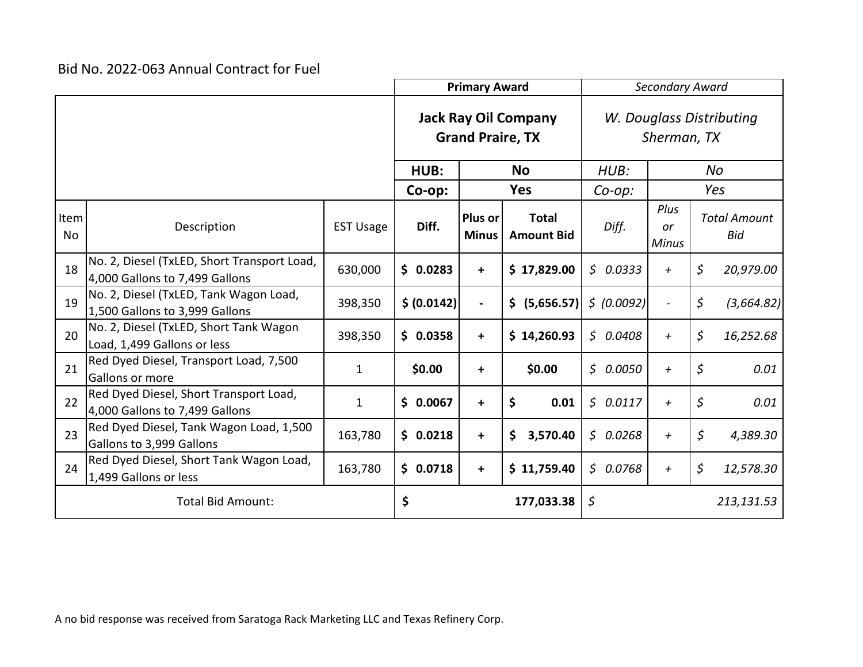|                   |                                                                               |                  | <b>Primary Award</b> |                                                        |                                   | Secondary Award |                                         |         |                            |  |
|-------------------|-------------------------------------------------------------------------------|------------------|----------------------|--------------------------------------------------------|-----------------------------------|-----------------|-----------------------------------------|---------|----------------------------|--|
|                   |                                                                               |                  |                      | <b>Jack Ray Oil Company</b><br><b>Grand Praire, TX</b> |                                   |                 | W. Douglass Distributing<br>Sherman, TX |         |                            |  |
|                   |                                                                               |                  | HUB:                 | <b>No</b>                                              |                                   | HUB:            |                                         | No      |                            |  |
|                   |                                                                               |                  | Co-op:               |                                                        | <b>Yes</b>                        | $Co$ -op:       | Yes                                     |         |                            |  |
| Item<br><b>No</b> | Description                                                                   | <b>EST Usage</b> | Diff.                | Plus or<br><b>Minus</b>                                | <b>Total</b><br><b>Amount Bid</b> | Diff.           | Plus<br>or<br><b>Minus</b>              |         | <b>Total Amount</b><br>Bid |  |
| 18                | No. 2, Diesel (TxLED, Short Transport Load,<br>4,000 Gallons to 7,499 Gallons | 630,000          | \$0.0283             | $\ddot{}$                                              | \$17,829.00                       | \$0.0333        | $\leftarrow$                            | \$      | 20,979.00                  |  |
| 19                | No. 2, Diesel (TxLED, Tank Wagon Load,<br>1,500 Gallons to 3,999 Gallons      | 398,350          | \$ (0.0142)          | $\blacksquare$                                         | \$ (5,656.57)                     | 5(0.0092)       |                                         | $\zeta$ | (3,664.82)                 |  |
| 20                | No. 2, Diesel (TxLED, Short Tank Wagon<br>Load, 1,499 Gallons or less         | 398,350          | \$0.0358             | $\ddot{}$                                              | \$14,260.93                       | \$0.0408        | $\ddot{}$                               | \$      | 16,252.68                  |  |
| 21                | Red Dyed Diesel, Transport Load, 7,500<br>Gallons or more                     | $\mathbf 1$      | \$0.00               | $\ddot{}$                                              | \$0.00                            | \$0.0050        | $\ddot{}$                               | \$      | 0.01                       |  |
| 22                | Red Dyed Diesel, Short Transport Load,<br>4,000 Gallons to 7,499 Gallons      | $\mathbf{1}$     | \$0.0067             | $\ddot{}$                                              | \$<br>0.01                        | \$0.0117        | $\ddot{}$                               | \$      | 0.01                       |  |
| 23                | Red Dyed Diesel, Tank Wagon Load, 1,500<br>Gallons to 3,999 Gallons           | 163,780          | \$0.0218             | $\ddot{}$                                              | 3,570.40<br>\$.                   | \$0.0268        | $+$                                     | \$      | 4,389.30                   |  |
| 24                | Red Dyed Diesel, Short Tank Wagon Load,<br>1,499 Gallons or less              | 163,780          | \$0.0718             | $\ddot{}$                                              | \$11,759.40                       | \$0.0768        | $\ddot{}$                               | \$      | 12,578.30                  |  |
|                   | <b>Total Bid Amount:</b>                                                      |                  |                      |                                                        | 177,033.38                        | \$              |                                         |         | 213,131.53                 |  |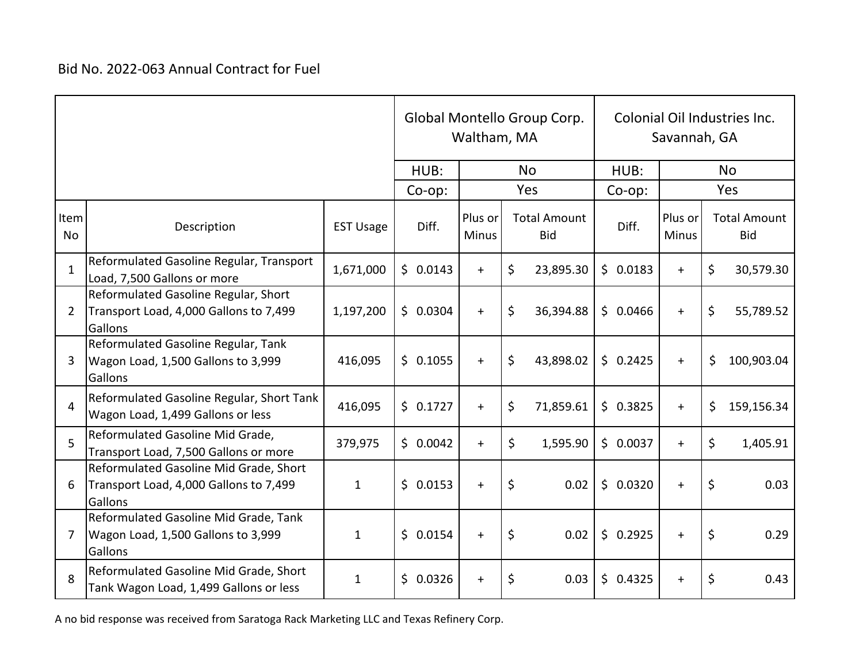|                   |                                                                                             |                  |              | Waltham, MA             | Global Montello Group Corp.       | Colonial Oil Industries Inc.<br>Savannah, GA |                         |           |                                   |
|-------------------|---------------------------------------------------------------------------------------------|------------------|--------------|-------------------------|-----------------------------------|----------------------------------------------|-------------------------|-----------|-----------------------------------|
|                   |                                                                                             |                  |              |                         | <b>No</b>                         | HUB:                                         |                         | <b>No</b> |                                   |
|                   |                                                                                             |                  | $Co$ -op:    |                         | Yes                               | Co-op:                                       | Yes                     |           |                                   |
| Item<br><b>No</b> | Description                                                                                 | <b>EST Usage</b> | Diff.        | Plus or<br><b>Minus</b> | <b>Total Amount</b><br><b>Bid</b> | Diff.                                        | Plus or<br><b>Minus</b> |           | <b>Total Amount</b><br><b>Bid</b> |
| $\mathbf{1}$      | Reformulated Gasoline Regular, Transport<br>Load, 7,500 Gallons or more                     | 1,671,000        | \$0.0143     | $+$                     | \$<br>23,895.30                   | \$0.0183                                     | $\ddot{}$               | \$        | 30,579.30                         |
| 2                 | Reformulated Gasoline Regular, Short<br>Transport Load, 4,000 Gallons to 7,499<br>Gallons   | 1,197,200        | \$0.0304     | $+$                     | \$<br>36,394.88                   | \$0.0466                                     | $\ddot{}$               | \$        | 55,789.52                         |
| 3                 | Reformulated Gasoline Regular, Tank<br>Wagon Load, 1,500 Gallons to 3,999<br>Gallons        | 416,095          | \$0.1055     | $+$                     | \$<br>43,898.02                   | \$0.2425                                     | $+$                     | \$        | 100,903.04                        |
| 4                 | Reformulated Gasoline Regular, Short Tank<br>Wagon Load, 1,499 Gallons or less              | 416,095          | \$0.1727     | $+$                     | \$<br>71,859.61                   | \$0.3825                                     | $+$                     | \$        | 159,156.34                        |
| 5                 | Reformulated Gasoline Mid Grade,<br>Transport Load, 7,500 Gallons or more                   | 379,975          | \$0.0042     | $+$                     | \$<br>1,595.90                    | \$0.0037                                     | $+$                     | \$        | 1,405.91                          |
| 6                 | Reformulated Gasoline Mid Grade, Short<br>Transport Load, 4,000 Gallons to 7,499<br>Gallons | $\mathbf{1}$     | \$0.0153     | $+$                     | \$<br>0.02                        | \$0.0320                                     | $+$                     | \$        | 0.03                              |
| 7                 | Reformulated Gasoline Mid Grade, Tank<br>Wagon Load, 1,500 Gallons to 3,999<br>Gallons      | $\mathbf{1}$     | \$0.0154     | $+$                     | \$<br>0.02                        | \$0.2925                                     | $+$                     | $\zeta$   | 0.29                              |
| 8                 | Reformulated Gasoline Mid Grade, Short<br>Tank Wagon Load, 1,499 Gallons or less            | $\mathbf{1}$     | \$<br>0.0326 | $\ddot{}$               | \$<br>0.03                        | \$0.4325                                     | $\ddagger$              | \$        | 0.43                              |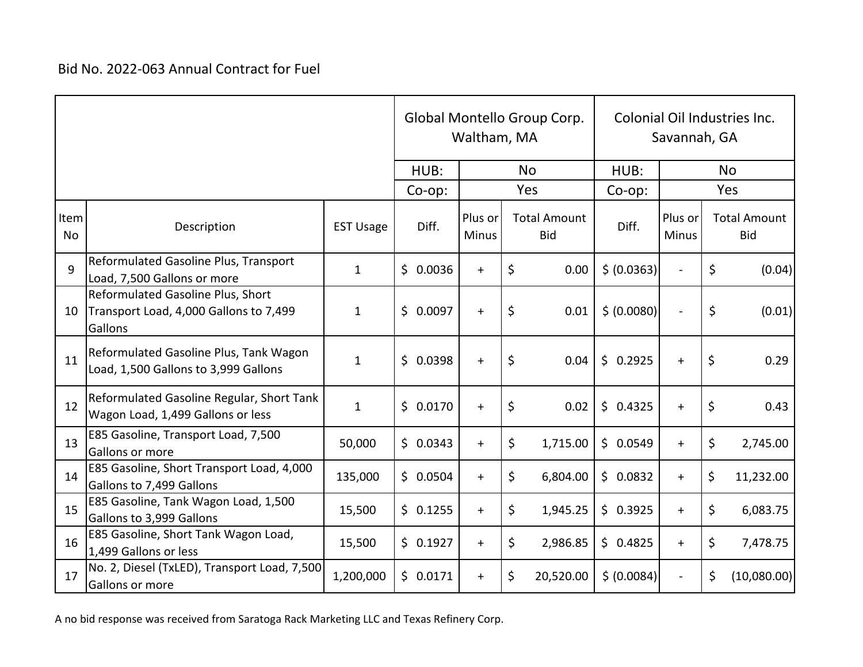|                   |                                                                                        |                  |          | Global Montello Group Corp.<br>Waltham, MA |                  |         |                                   |             | Colonial Oil Industries Inc.<br>Savannah, GA |           |                                   |  |
|-------------------|----------------------------------------------------------------------------------------|------------------|----------|--------------------------------------------|------------------|---------|-----------------------------------|-------------|----------------------------------------------|-----------|-----------------------------------|--|
|                   |                                                                                        |                  |          | HUB:                                       | <b>No</b>        |         |                                   | HUB:        |                                              | <b>No</b> |                                   |  |
|                   |                                                                                        |                  | Co-op:   |                                            |                  |         | Yes                               | Co-op:      |                                              |           | Yes                               |  |
| Item<br><b>No</b> | Description                                                                            | <b>EST Usage</b> |          | Diff.                                      | Plus or<br>Minus |         | <b>Total Amount</b><br><b>Bid</b> | Diff.       | Plus or<br><b>Minus</b>                      |           | <b>Total Amount</b><br><b>Bid</b> |  |
| $\mathsf{q}$      | Reformulated Gasoline Plus, Transport<br>Load, 7,500 Gallons or more                   | $\mathbf{1}$     | \$0.0036 |                                            | $+$              | \$      | 0.00                              | \$ (0.0363) |                                              | \$        | (0.04)                            |  |
| 10                | Reformulated Gasoline Plus, Short<br>Transport Load, 4,000 Gallons to 7,499<br>Gallons | $\mathbf{1}$     | \$0.0097 |                                            | $+$              | \$      | 0.01                              | \$ (0.0080) | $\overline{a}$                               | \$        | (0.01)                            |  |
| 11                | Reformulated Gasoline Plus, Tank Wagon<br>Load, 1,500 Gallons to 3,999 Gallons         | $\mathbf{1}$     | \$0.0398 |                                            | $+$              | \$      | 0.04                              | \$0.2925    | $\begin{array}{c} + \end{array}$             | \$        | 0.29                              |  |
| 12                | Reformulated Gasoline Regular, Short Tank<br>Wagon Load, 1,499 Gallons or less         | $\mathbf{1}$     | \$0.0170 |                                            | $+$              | \$      | 0.02                              | \$0.4325    | $+$                                          | \$        | 0.43                              |  |
| 13                | E85 Gasoline, Transport Load, 7,500<br>Gallons or more                                 | 50,000           | \$0.0343 |                                            | $+$              | $\zeta$ | 1,715.00                          | \$0.0549    | $+$                                          | \$        | 2,745.00                          |  |
| 14                | E85 Gasoline, Short Transport Load, 4,000<br>Gallons to 7,499 Gallons                  | 135,000          | \$0.0504 |                                            | $+$              | \$      | 6,804.00                          | \$0.0832    | $+$                                          | \$        | 11,232.00                         |  |
| 15                | E85 Gasoline, Tank Wagon Load, 1,500<br>Gallons to 3,999 Gallons                       | 15,500           | \$0.1255 |                                            | $+$              | \$      | 1,945.25                          | \$0.3925    | $+$                                          | \$        | 6,083.75                          |  |
| 16                | E85 Gasoline, Short Tank Wagon Load,<br>1,499 Gallons or less                          | 15,500           | \$0.1927 |                                            | $+$              | \$      | 2,986.85                          | \$0.4825    | $+$                                          | \$        | 7,478.75                          |  |
| 17                | No. 2, Diesel (TxLED), Transport Load, 7,500<br>Gallons or more                        | 1,200,000        | \$0.0171 |                                            | $+$              | $\zeta$ | 20,520.00                         | \$ (0.0084) |                                              | \$        | (10,080.00)                       |  |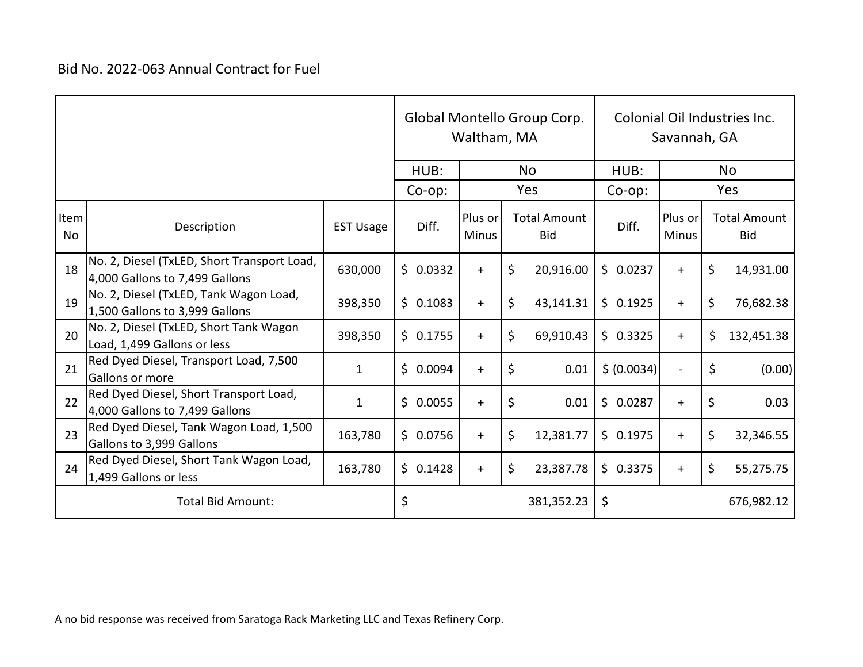|            |                                                                               |                  |          | Waltham, MA             | Global Montello Group Corp.       | Colonial Oil Industries Inc.<br>Savannah, GA |                          |    |                                   |  |
|------------|-------------------------------------------------------------------------------|------------------|----------|-------------------------|-----------------------------------|----------------------------------------------|--------------------------|----|-----------------------------------|--|
|            |                                                                               |                  | HUB:     |                         | <b>No</b>                         | HUB:                                         |                          |    | <b>No</b>                         |  |
|            |                                                                               |                  |          |                         | Yes                               | $Co$ -op:                                    |                          |    | Yes                               |  |
| Item<br>No | Description                                                                   | <b>EST Usage</b> | Diff.    | Plus or<br><b>Minus</b> | <b>Total Amount</b><br><b>Bid</b> | Diff.                                        | Plus or<br><b>Minus</b>  |    | <b>Total Amount</b><br><b>Bid</b> |  |
| 18         | No. 2, Diesel (TxLED, Short Transport Load,<br>4,000 Gallons to 7,499 Gallons | 630,000          | \$0.0332 | $+$                     | \$<br>20,916.00                   | \$0.0237                                     | $\ddot{}$                | \$ | 14,931.00                         |  |
| 19         | No. 2, Diesel (TxLED, Tank Wagon Load,<br>1,500 Gallons to 3,999 Gallons      | 398,350          | \$0.1083 | $+$                     | \$<br>43,141.31                   | \$0.1925                                     | $+$                      | \$ | 76,682.38                         |  |
| 20         | No. 2, Diesel (TxLED, Short Tank Wagon<br>Load, 1,499 Gallons or less         | 398,350          | \$0.1755 | $+$                     | \$<br>69,910.43                   | \$0.3325                                     | $+$                      | \$ | 132,451.38                        |  |
| 21         | Red Dyed Diesel, Transport Load, 7,500<br>Gallons or more                     | $\mathbf{1}$     | \$0.0094 | $+$                     | \$<br>0.01                        | \$ (0.0034)                                  | $\overline{\phantom{a}}$ | \$ | (0.00)                            |  |
| 22         | Red Dyed Diesel, Short Transport Load,<br>4,000 Gallons to 7,499 Gallons      | $\mathbf{1}$     | \$0.0055 | $\ddot{}$               | $\zeta$<br>0.01                   | \$0.0287                                     | $\ddot{}$                | \$ | 0.03                              |  |
| 23         | Red Dyed Diesel, Tank Wagon Load, 1,500<br>Gallons to 3,999 Gallons           | 163,780          | \$0.0756 | $+$                     | \$<br>12,381.77                   | \$0.1975                                     | $+$                      | \$ | 32,346.55                         |  |
| 24         | Red Dyed Diesel, Short Tank Wagon Load,<br>1,499 Gallons or less              | 163,780          | \$0.1428 | $+$                     | \$<br>23,387.78                   | \$0.3375                                     | $\ddot{}$                | \$ | 55,275.75                         |  |
|            | <b>Total Bid Amount:</b>                                                      |                  | \$       |                         | 381,352.23                        | \$                                           |                          |    | 676,982.12                        |  |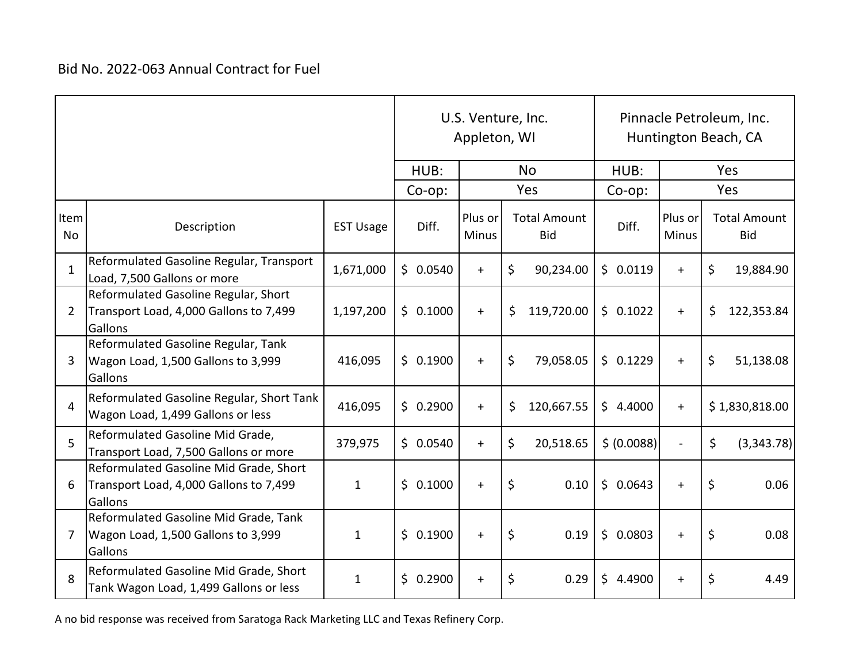|                   |                                                                                             |                  | Appleton, WI | U.S. Venture, Inc.      | Pinnacle Petroleum, Inc.<br>Huntington Beach, CA |              |                         |                                   |  |
|-------------------|---------------------------------------------------------------------------------------------|------------------|--------------|-------------------------|--------------------------------------------------|--------------|-------------------------|-----------------------------------|--|
|                   |                                                                                             |                  |              |                         | <b>No</b>                                        | HUB:         |                         | Yes                               |  |
|                   |                                                                                             |                  |              |                         | Yes                                              | Co-op:       | Yes                     |                                   |  |
| Item<br><b>No</b> | Description                                                                                 | <b>EST Usage</b> | Diff.        | Plus or<br><b>Minus</b> | <b>Total Amount</b><br><b>Bid</b>                | Diff.        | Plus or<br><b>Minus</b> | <b>Total Amount</b><br><b>Bid</b> |  |
| $\mathbf{1}$      | Reformulated Gasoline Regular, Transport<br>Load, 7,500 Gallons or more                     | 1,671,000        | \$0.0540     | $+$                     | \$<br>90,234.00                                  | \$0.0119     | $+$                     | \$<br>19,884.90                   |  |
| 2                 | Reformulated Gasoline Regular, Short<br>Transport Load, 4,000 Gallons to 7,499<br>Gallons   | 1,197,200        | \$0.1000     | $+$                     | \$<br>119,720.00                                 | \$0.1022     | $+$                     | \$<br>122,353.84                  |  |
| 3                 | Reformulated Gasoline Regular, Tank<br>Wagon Load, 1,500 Gallons to 3,999<br>Gallons        | 416,095          | \$0.1900     | $+$                     | \$<br>79,058.05                                  | \$0.1229     | $+$                     | \$<br>51,138.08                   |  |
| 4                 | Reformulated Gasoline Regular, Short Tank<br>Wagon Load, 1,499 Gallons or less              | 416,095          | \$0.2900     | $+$                     | \$<br>120,667.55                                 | \$4.4000     | $+$                     | \$1,830,818.00                    |  |
| 5                 | Reformulated Gasoline Mid Grade,<br>Transport Load, 7,500 Gallons or more                   | 379,975          | \$0.0540     | $+$                     | \$<br>20,518.65                                  | \$ (0.0088)  |                         | \$<br>(3,343.78)                  |  |
| 6                 | Reformulated Gasoline Mid Grade, Short<br>Transport Load, 4,000 Gallons to 7,499<br>Gallons | $\mathbf{1}$     | \$<br>0.1000 | $+$                     | \$<br>0.10                                       | \$0.0643     | $+$                     | \$<br>0.06                        |  |
| 7                 | Reformulated Gasoline Mid Grade, Tank<br>Wagon Load, 1,500 Gallons to 3,999<br>Gallons      | $\mathbf{1}$     | \$0.1900     | $+$                     | \$<br>0.19                                       | \$0.0803     | $\ddot{}$               | \$<br>0.08                        |  |
| 8                 | Reformulated Gasoline Mid Grade, Short<br>Tank Wagon Load, 1,499 Gallons or less            | $\mathbf{1}$     | \$<br>0.2900 | $+$                     | \$<br>0.29                                       | \$<br>4.4900 | $\ddot{}$               | \$<br>4.49                        |  |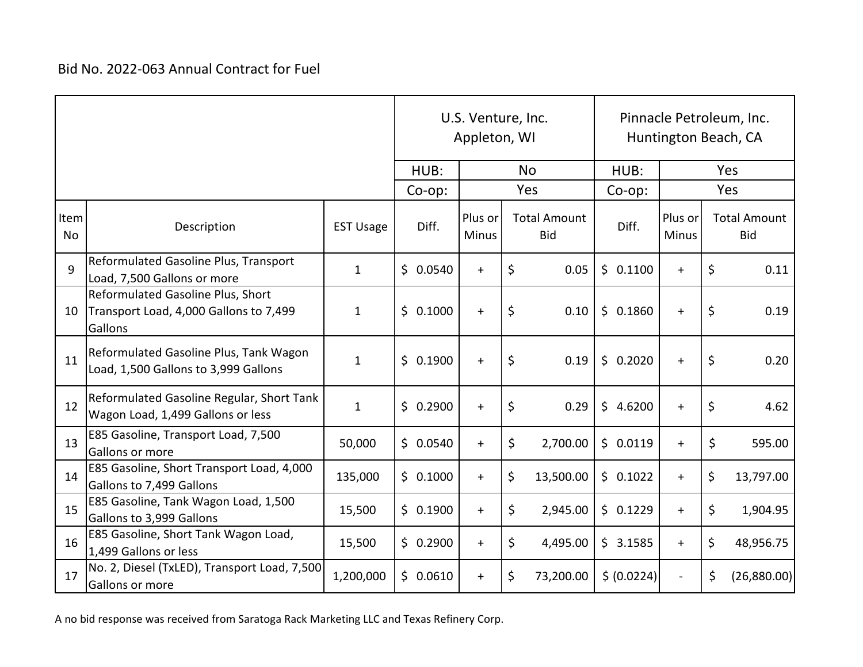|                   |                                                                                        |                  | U.S. Venture, Inc.<br>Appleton, WI |          |                         |             |                                   | Pinnacle Petroleum, Inc.<br>Huntington Beach, CA |             |                         |         |                                   |  |
|-------------------|----------------------------------------------------------------------------------------|------------------|------------------------------------|----------|-------------------------|-------------|-----------------------------------|--------------------------------------------------|-------------|-------------------------|---------|-----------------------------------|--|
|                   |                                                                                        |                  |                                    | HUB:     | <b>No</b>               |             |                                   |                                                  | HUB:        |                         | Yes     |                                   |  |
|                   |                                                                                        |                  | Co-op:                             |          | Yes                     |             |                                   | Co-op:                                           |             | Yes                     |         |                                   |  |
| Item<br><b>No</b> | Description                                                                            | <b>EST Usage</b> |                                    | Diff.    | Plus or<br><b>Minus</b> |             | <b>Total Amount</b><br><b>Bid</b> |                                                  | Diff.       | Plus or<br><b>Minus</b> |         | <b>Total Amount</b><br><b>Bid</b> |  |
| 9                 | Reformulated Gasoline Plus, Transport<br>Load, 7,500 Gallons or more                   | $\mathbf{1}$     |                                    | \$0.0540 | $+$                     | \$          | 0.05                              |                                                  | \$0.1100    | $\ddot{}$               | \$      | 0.11                              |  |
| 10                | Reformulated Gasoline Plus, Short<br>Transport Load, 4,000 Gallons to 7,499<br>Gallons | $\mathbf{1}$     |                                    | \$0.1000 | $+$                     | $\varsigma$ | 0.10                              |                                                  | \$0.1860    | $+$                     | \$      | 0.19                              |  |
| 11                | Reformulated Gasoline Plus, Tank Wagon<br>Load, 1,500 Gallons to 3,999 Gallons         | $\mathbf{1}$     |                                    | \$0.1900 | $\ddot{}$               | $\zeta$     | 0.19                              |                                                  | \$0.2020    | $+$                     | \$      | 0.20                              |  |
| 12                | Reformulated Gasoline Regular, Short Tank<br>Wagon Load, 1,499 Gallons or less         | $\mathbf{1}$     |                                    | \$0.2900 | $+$                     | \$          | 0.29                              |                                                  | \$4.6200    | $+$                     | \$      | 4.62                              |  |
| 13                | E85 Gasoline, Transport Load, 7,500<br>Gallons or more                                 | 50,000           |                                    | \$0.0540 | $+$                     | $\zeta$     | 2,700.00                          |                                                  | \$0.0119    | $+$                     | $\zeta$ | 595.00                            |  |
| 14                | E85 Gasoline, Short Transport Load, 4,000<br>Gallons to 7,499 Gallons                  | 135,000          |                                    | \$0.1000 | $+$                     | \$          | 13,500.00                         |                                                  | \$0.1022    | $+$                     | \$      | 13,797.00                         |  |
| 15                | E85 Gasoline, Tank Wagon Load, 1,500<br>Gallons to 3,999 Gallons                       | 15,500           |                                    | \$0.1900 | $+$                     | \$          | 2,945.00                          |                                                  | \$0.1229    | $+$                     | \$      | 1,904.95                          |  |
| 16                | E85 Gasoline, Short Tank Wagon Load,<br>1,499 Gallons or less                          | 15,500           |                                    | \$0.2900 | $+$                     | \$          | 4,495.00                          |                                                  | \$3.1585    | $+$                     | \$      | 48,956.75                         |  |
| 17                | No. 2, Diesel (TxLED), Transport Load, 7,500<br>Gallons or more                        | 1,200,000        |                                    | \$0.0610 | $+$                     | \$          | 73,200.00                         |                                                  | \$ (0.0224) |                         | \$      | (26,880.00)                       |  |